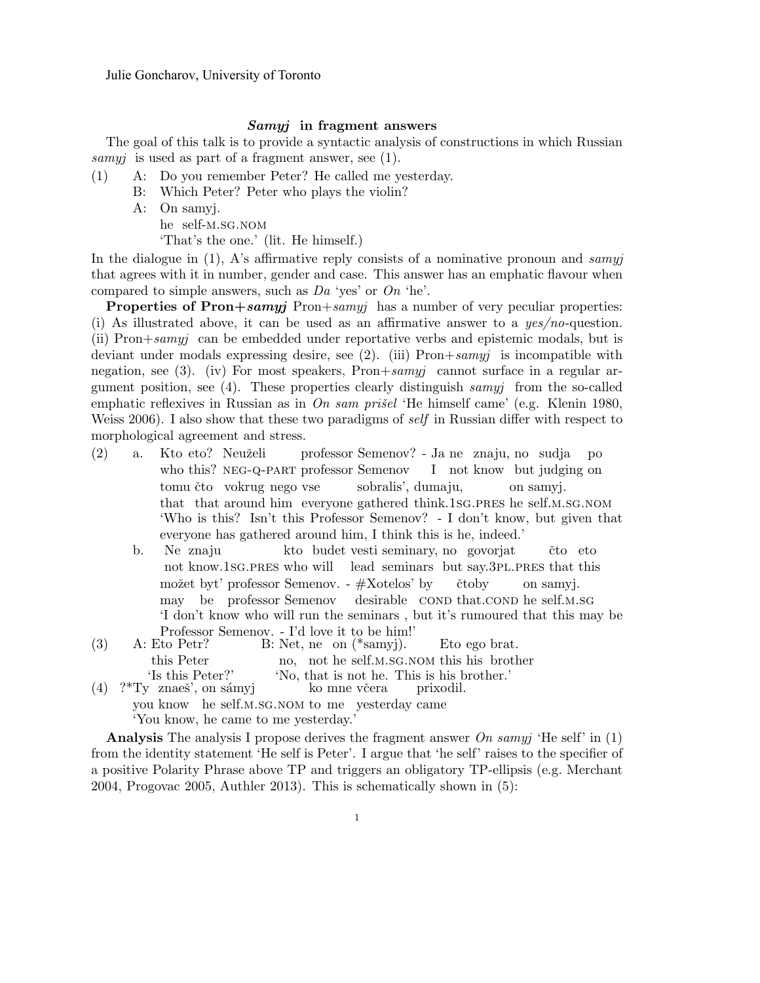## *Samyj* in fragment answers

The goal of this talk is to provide a syntactic analysis of constructions in which Russian *samyj* is used as part of a fragment answer, see (1).

- (1) A: Do you remember Peter? He called me yesterday.
	- B: Which Peter? Peter who plays the violin?
	- A: On samyj.
		- he self-m.sg.nom

'That's the one.' (lit. He himself.)

In the dialogue in (1), A's affirmative reply consists of a nominative pronoun and *samyj* that agrees with it in number, gender and case. This answer has an emphatic flavour when compared to simple answers, such as *Da* 'yes' or *On* 'he'.

**Properties of Pron+***samyj* Pron+*samyj* has a number of very peculiar properties: (i) As illustrated above, it can be used as an affirmative answer to a *yes/no*-question. (ii) Pron+*samyj* can be embedded under reportative verbs and epistemic modals, but is deviant under modals expressing desire, see (2). (iii) Pron+*samyj* is incompatible with negation, see (3). (iv) For most speakers, Pron+*samyj* cannot surface in a regular argument position, see (4). These properties clearly distinguish *samyj* from the so-called emphatic reflexives in Russian as in *On sam prišel* 'He himself came' (e.g. Klenin 1980, Weiss 2006). I also show that these two paradigms of *self* in Russian differ with respect to morphological agreement and stress.

- (2) a. Kto eto? Neuželi who this? neg-q-part professor Semenov professor Semenov? - Ja ne znaju, no sudja I not know but judging on po tomu čto vokrug nego vse that that around him everyone gathered think.1sg.pres he self.m.sg.nom sobralis', dumaju, on samyj. 'Who is this? Isn't this Professor Semenov? - I don't know, but given that everyone has gathered around him, I think this is he, indeed.'
	- b. Ne znaju not know.1sg.pres who will kto budet vesti seminary, no govorjat lead seminars but say.3pl.pres that this ˇcto eto možet byť professor Semenov. - #Xotelos' by may be professor Semenov desirable COND that.COND he self.M.SG čtoby on samyj. 'I don't know who will run the seminars , but it's rumoured that this may be Professor Semenov. - I'd love it to be him!'
- (3) A: Eto Petr? this Peter B: Net, ne on (\*samyj). no, not he self.m.sg.nom this his brother Eto ego brat. 'Is this Peter?' 'No, that is not he. This is his brother.' znaeš', on sámyj ko mne včera prixodil.
- you know he self.m.sg.nom to me yesterday came 'You know, he came to me yesterday.'

Analysis The analysis I propose derives the fragment answer *On samyj* 'He self' in (1) from the identity statement 'He self is Peter'. I argue that 'he self' raises to the specifier of a positive Polarity Phrase above TP and triggers an obligatory TP-ellipsis (e.g. Merchant 2004, Progovac 2005, Authler 2013). This is schematically shown in (5):